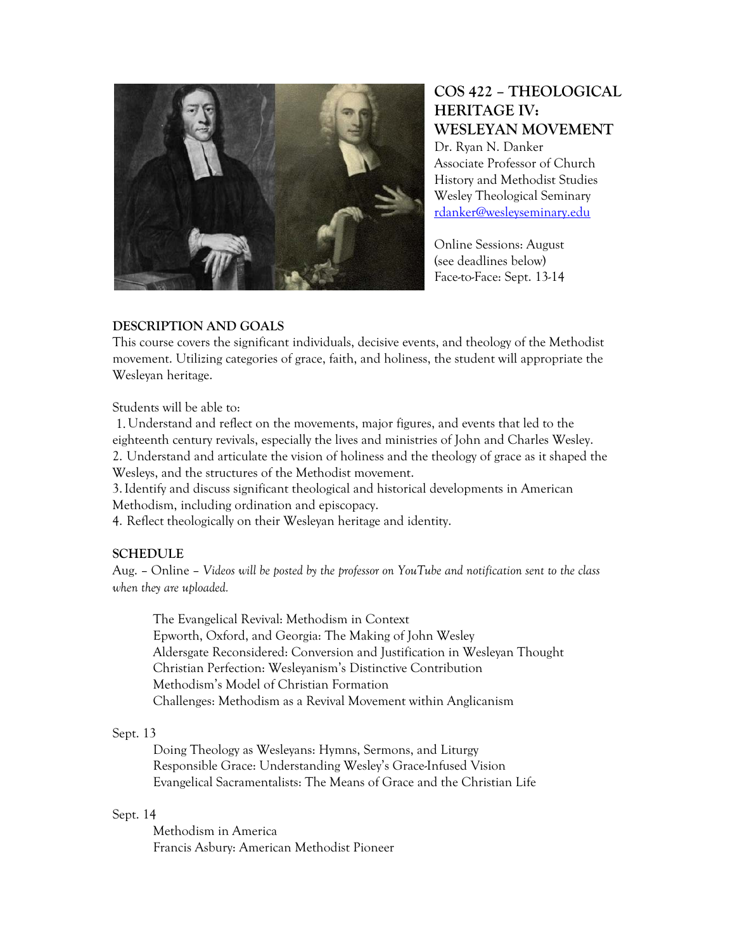

# **COS 422 – THEOLOGICAL HERITAGE IV: WESLEYAN MOVEMENT**

Dr. Ryan N. Danker Associate Professor of Church History and Methodist Studies Wesley Theological Seminary rdanker@wesleyseminary.edu

Online Sessions: August (see deadlines below) Face-to-Face: Sept. 13-14

## **DESCRIPTION AND GOALS**

This course covers the significant individuals, decisive events, and theology of the Methodist movement. Utilizing categories of grace, faith, and holiness, the student will appropriate the Wesleyan heritage.

Students will be able to:

 1.Understand and reflect on the movements, major figures, and events that led to the eighteenth century revivals, especially the lives and ministries of John and Charles Wesley. 2. Understand and articulate the vision of holiness and the theology of grace as it shaped the Wesleys, and the structures of the Methodist movement.

3.Identify and discuss significant theological and historical developments in American Methodism, including ordination and episcopacy.

4. Reflect theologically on their Wesleyan heritage and identity.

## **SCHEDULE**

Aug. – Online – *Videos will be posted by the professor on YouTube and notification sent to the class when they are uploaded.*

 The Evangelical Revival: Methodism in Context Epworth, Oxford, and Georgia: The Making of John Wesley Aldersgate Reconsidered: Conversion and Justification in Wesleyan Thought Christian Perfection: Wesleyanism's Distinctive Contribution Methodism's Model of Christian Formation Challenges: Methodism as a Revival Movement within Anglicanism

## Sept. 13

 Doing Theology as Wesleyans: Hymns, Sermons, and Liturgy Responsible Grace: Understanding Wesley's Grace-Infused Vision Evangelical Sacramentalists: The Means of Grace and the Christian Life

## Sept. 14

 Methodism in America Francis Asbury: American Methodist Pioneer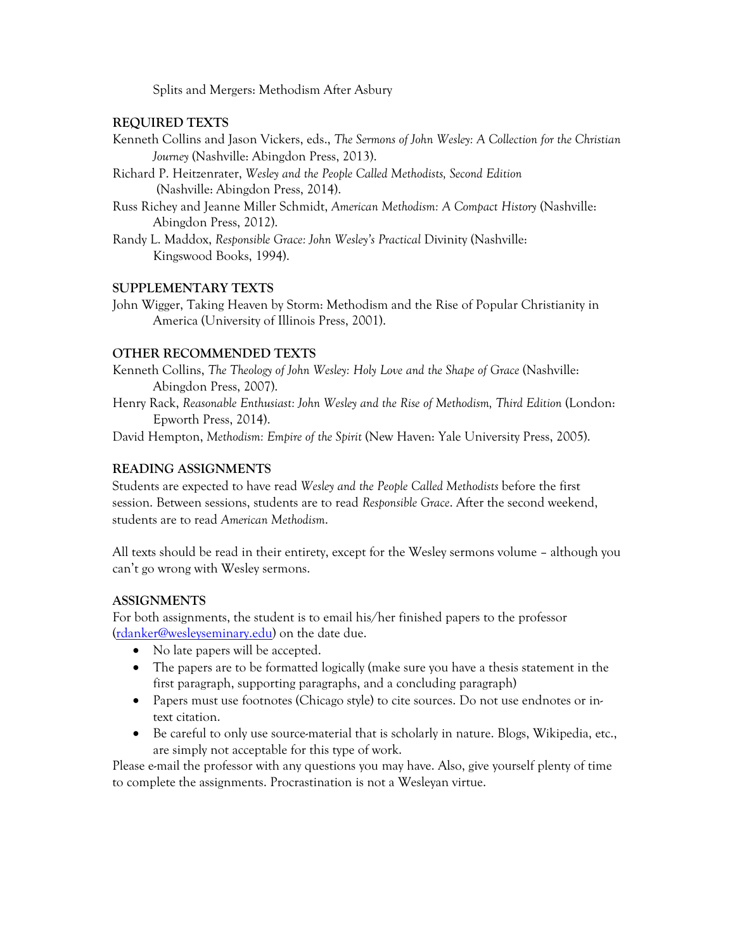Splits and Mergers: Methodism After Asbury

## **REQUIRED TEXTS**

- Kenneth Collins and Jason Vickers, eds., *The Sermons of John Wesley: A Collection for the Christian Journey* (Nashville: Abingdon Press, 2013).
- Richard P. Heitzenrater, *Wesley and the People Called Methodists, Second Edition*  (Nashville: Abingdon Press, 2014).
- Russ Richey and Jeanne Miller Schmidt, *American Methodism: A Compact History* (Nashville: Abingdon Press, 2012).
- Randy L. Maddox, *Responsible Grace: John Wesley's Practical* Divinity (Nashville: Kingswood Books, 1994).

## **SUPPLEMENTARY TEXTS**

John Wigger, Taking Heaven by Storm: Methodism and the Rise of Popular Christianity in America (University of Illinois Press, 2001).

# **OTHER RECOMMENDED TEXTS**

Kenneth Collins, *The Theology of John Wesley: Holy Love and the Shape of Grace* (Nashville: Abingdon Press, 2007).

Henry Rack, *Reasonable Enthusiast: John Wesley and the Rise of Methodism, Third Edition* (London: Epworth Press, 2014).

David Hempton, *Methodism: Empire of the Spirit* (New Haven: Yale University Press, 2005).

## **READING ASSIGNMENTS**

Students are expected to have read *Wesley and the People Called Methodists* before the first session. Between sessions, students are to read *Responsible Grace*. After the second weekend, students are to read *American Methodism*.

All texts should be read in their entirety, except for the Wesley sermons volume – although you can't go wrong with Wesley sermons.

## **ASSIGNMENTS**

For both assignments, the student is to email his/her finished papers to the professor (rdanker@wesleyseminary.edu) on the date due.

- No late papers will be accepted.
- The papers are to be formatted logically (make sure you have a thesis statement in the first paragraph, supporting paragraphs, and a concluding paragraph)
- Papers must use footnotes (Chicago style) to cite sources. Do not use endnotes or intext citation.
- Be careful to only use source-material that is scholarly in nature. Blogs, Wikipedia, etc., are simply not acceptable for this type of work.

Please e-mail the professor with any questions you may have. Also, give yourself plenty of time to complete the assignments. Procrastination is not a Wesleyan virtue.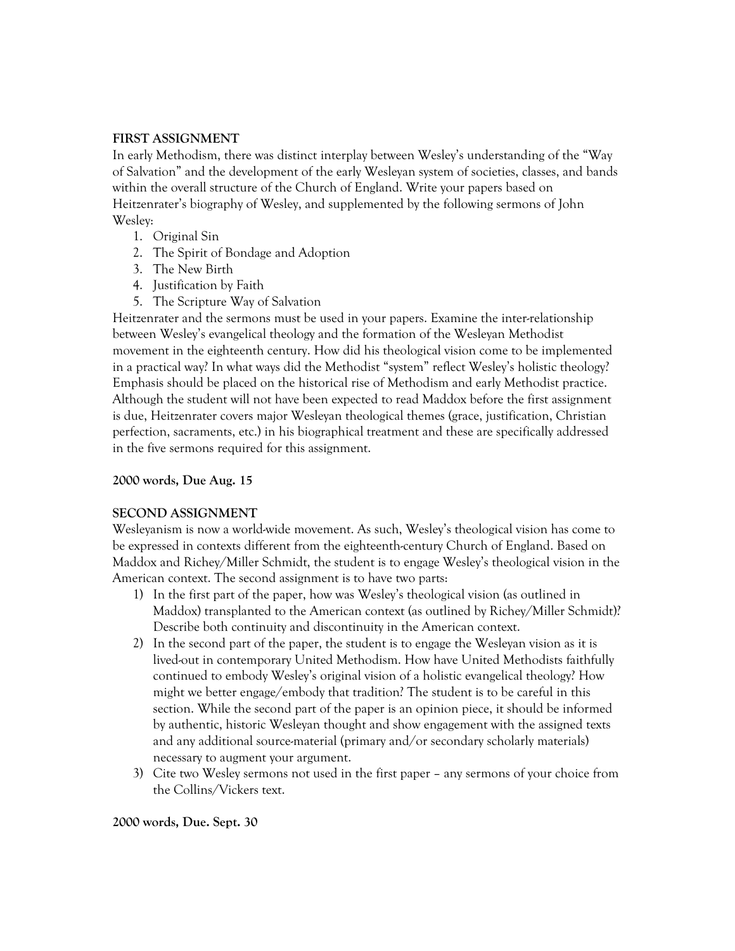## **FIRST ASSIGNMENT**

In early Methodism, there was distinct interplay between Wesley's understanding of the "Way of Salvation" and the development of the early Wesleyan system of societies, classes, and bands within the overall structure of the Church of England. Write your papers based on Heitzenrater's biography of Wesley, and supplemented by the following sermons of John Wesley:

- 1. Original Sin
- 2. The Spirit of Bondage and Adoption
- 3. The New Birth
- 4. Justification by Faith
- 5. The Scripture Way of Salvation

Heitzenrater and the sermons must be used in your papers. Examine the inter-relationship between Wesley's evangelical theology and the formation of the Wesleyan Methodist movement in the eighteenth century. How did his theological vision come to be implemented in a practical way? In what ways did the Methodist "system" reflect Wesley's holistic theology? Emphasis should be placed on the historical rise of Methodism and early Methodist practice. Although the student will not have been expected to read Maddox before the first assignment is due, Heitzenrater covers major Wesleyan theological themes (grace, justification, Christian perfection, sacraments, etc.) in his biographical treatment and these are specifically addressed in the five sermons required for this assignment.

#### **2000 words, Due Aug. 15**

#### **SECOND ASSIGNMENT**

Wesleyanism is now a world-wide movement. As such, Wesley's theological vision has come to be expressed in contexts different from the eighteenth-century Church of England. Based on Maddox and Richey/Miller Schmidt, the student is to engage Wesley's theological vision in the American context. The second assignment is to have two parts:

- 1) In the first part of the paper, how was Wesley's theological vision (as outlined in Maddox) transplanted to the American context (as outlined by Richey/Miller Schmidt)? Describe both continuity and discontinuity in the American context.
- 2) In the second part of the paper, the student is to engage the Wesleyan vision as it is lived-out in contemporary United Methodism. How have United Methodists faithfully continued to embody Wesley's original vision of a holistic evangelical theology? How might we better engage/embody that tradition? The student is to be careful in this section. While the second part of the paper is an opinion piece, it should be informed by authentic, historic Wesleyan thought and show engagement with the assigned texts and any additional source-material (primary and/or secondary scholarly materials) necessary to augment your argument.
- 3) Cite two Wesley sermons not used in the first paper any sermons of your choice from the Collins/Vickers text.

#### **2000 words, Due. Sept. 30**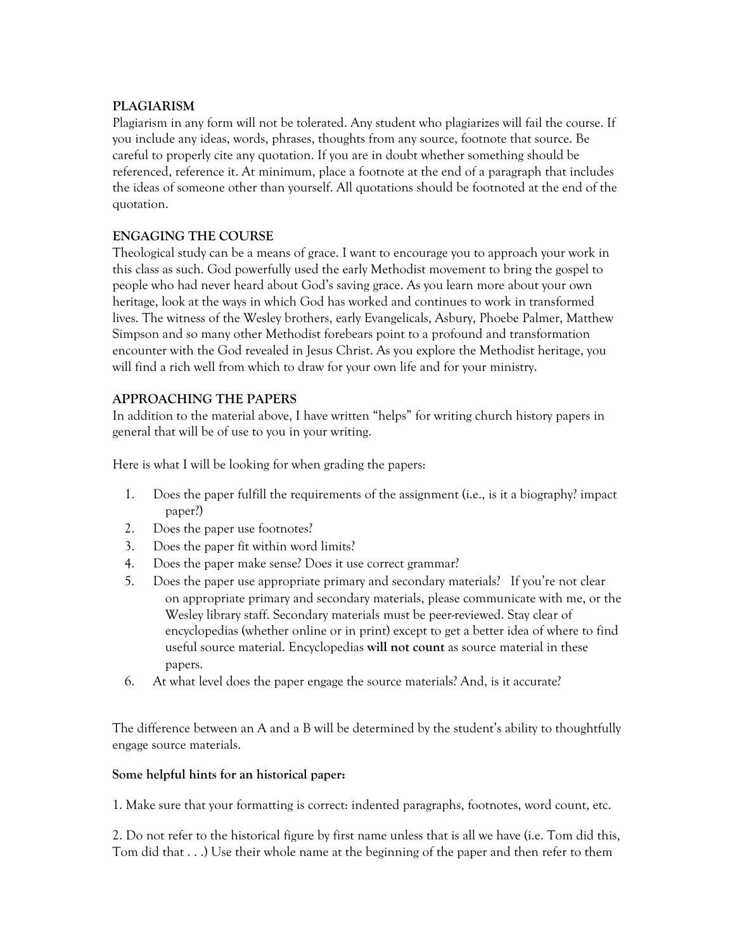## **PLAGIARISM**

Plagiarism in any form will not be tolerated. Any student who plagiarizes will fail the course. If you include any ideas, words, phrases, thoughts from any source, footnote that source. Be careful to properly cite any quotation. If you are in doubt whether something should be referenced, reference it. At minimum, place a footnote at the end of a paragraph that includes the ideas of someone other than yourself. All quotations should be footnoted at the end of the quotation.

# **ENGAGING THE COURSE**

Theological study can be a means of grace. I want to encourage you to approach your work in this class as such. God powerfully used the early Methodist movement to bring the gospel to people who had never heard about God's saving grace. As you learn more about your own heritage, look at the ways in which God has worked and continues to work in transformed lives. The witness of the Wesley brothers, early Evangelicals, Asbury, Phoebe Palmer, Matthew Simpson and so many other Methodist forebears point to a profound and transformation encounter with the God revealed in Jesus Christ. As you explore the Methodist heritage, you will find a rich well from which to draw for your own life and for your ministry.

# **APPROACHING THE PAPERS**

In addition to the material above, I have written "helps" for writing church history papers in general that will be of use to you in your writing.

Here is what I will be looking for when grading the papers:

- 1. Does the paper fulfill the requirements of the assignment (i.e., is it a biography? impact paper?)
- 2. Does the paper use footnotes?
- 3. Does the paper fit within word limits?
- 4. Does the paper make sense? Does it use correct grammar?
- 5. Does the paper use appropriate primary and secondary materials? If you're not clear on appropriate primary and secondary materials, please communicate with me, or the Wesley library staff. Secondary materials must be peer-reviewed. Stay clear of encyclopedias (whether online or in print) except to get a better idea of where to find useful source material. Encyclopedias **will not count** as source material in these papers.
- 6. At what level does the paper engage the source materials? And, is it accurate?

The difference between an A and a B will be determined by the student's ability to thoughtfully engage source materials.

## **Some helpful hints for an historical paper:**

1. Make sure that your formatting is correct: indented paragraphs, footnotes, word count, etc.

2. Do not refer to the historical figure by first name unless that is all we have (i.e. Tom did this, Tom did that . . .) Use their whole name at the beginning of the paper and then refer to them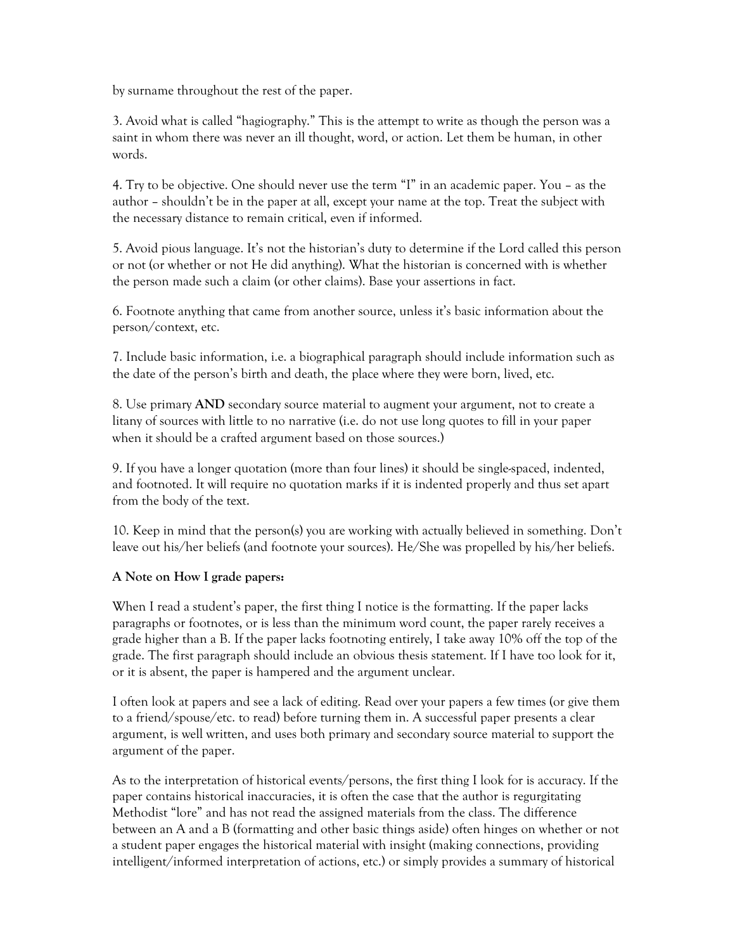by surname throughout the rest of the paper.

3. Avoid what is called "hagiography." This is the attempt to write as though the person was a saint in whom there was never an ill thought, word, or action. Let them be human, in other words.

4. Try to be objective. One should never use the term "I" in an academic paper. You – as the author – shouldn't be in the paper at all, except your name at the top. Treat the subject with the necessary distance to remain critical, even if informed.

5. Avoid pious language. It's not the historian's duty to determine if the Lord called this person or not (or whether or not He did anything). What the historian is concerned with is whether the person made such a claim (or other claims). Base your assertions in fact.

6. Footnote anything that came from another source, unless it's basic information about the person/context, etc.

7. Include basic information, i.e. a biographical paragraph should include information such as the date of the person's birth and death, the place where they were born, lived, etc.

8. Use primary **AND** secondary source material to augment your argument, not to create a litany of sources with little to no narrative (i.e. do not use long quotes to fill in your paper when it should be a crafted argument based on those sources.)

9. If you have a longer quotation (more than four lines) it should be single-spaced, indented, and footnoted. It will require no quotation marks if it is indented properly and thus set apart from the body of the text.

10. Keep in mind that the person(s) you are working with actually believed in something. Don't leave out his/her beliefs (and footnote your sources). He/She was propelled by his/her beliefs.

## **A Note on How I grade papers:**

When I read a student's paper, the first thing I notice is the formatting. If the paper lacks paragraphs or footnotes, or is less than the minimum word count, the paper rarely receives a grade higher than a B. If the paper lacks footnoting entirely, I take away 10% off the top of the grade. The first paragraph should include an obvious thesis statement. If I have too look for it, or it is absent, the paper is hampered and the argument unclear.

I often look at papers and see a lack of editing. Read over your papers a few times (or give them to a friend/spouse/etc. to read) before turning them in. A successful paper presents a clear argument, is well written, and uses both primary and secondary source material to support the argument of the paper.

As to the interpretation of historical events/persons, the first thing I look for is accuracy. If the paper contains historical inaccuracies, it is often the case that the author is regurgitating Methodist "lore" and has not read the assigned materials from the class. The difference between an A and a B (formatting and other basic things aside) often hinges on whether or not a student paper engages the historical material with insight (making connections, providing intelligent/informed interpretation of actions, etc.) or simply provides a summary of historical